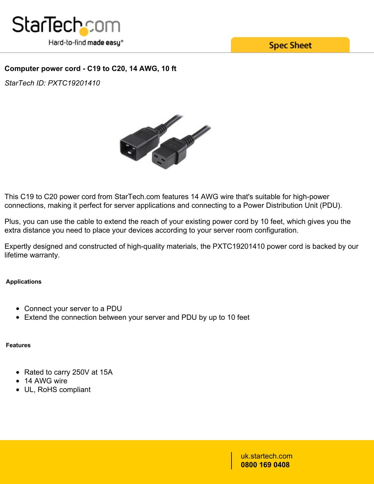

**Spec Sheet** 

# **Computer power cord - C19 to C20, 14 AWG, 10 ft**

*StarTech ID: PXTC19201410*



This C19 to C20 power cord from StarTech.com features 14 AWG wire that's suitable for high-power connections, making it perfect for server applications and connecting to a Power Distribution Unit (PDU).

Plus, you can use the cable to extend the reach of your existing power cord by 10 feet, which gives you the extra distance you need to place your devices according to your server room configuration.

Expertly designed and constructed of high-quality materials, the PXTC19201410 power cord is backed by our lifetime warranty.

## **Applications**

- Connect your server to a PDU
- Extend the connection between your server and PDU by up to 10 feet

## **Features**

- Rated to carry 250V at 15A
- 14 AWG wire
- UL, RoHS compliant

uk.startech.com **0800 169 0408**